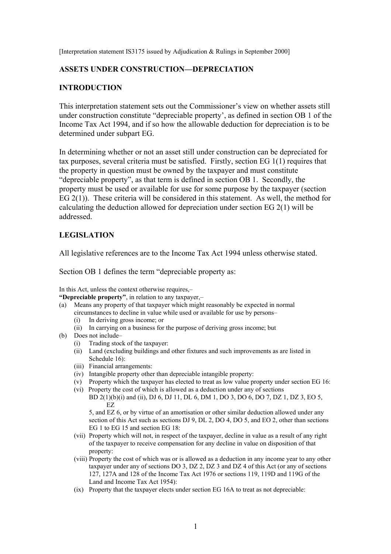[Interpretation statement IS3175 issued by Adjudication & Rulings in September 2000]

#### **ASSETS UNDER CONSTRUCTION—DEPRECIATION**

#### **INTRODUCTION**

This interpretation statement sets out the Commissioner's view on whether assets still under construction constitute "depreciable property', as defined in section OB 1 of the Income Tax Act 1994, and if so how the allowable deduction for depreciation is to be determined under subpart EG.

In determining whether or not an asset still under construction can be depreciated for tax purposes, several criteria must be satisfied. Firstly, section EG 1(1) requires that the property in question must be owned by the taxpayer and must constitute "depreciable property", as that term is defined in section OB 1. Secondly, the property must be used or available for use for some purpose by the taxpayer (section EG 2(1)). These criteria will be considered in this statement. As well, the method for calculating the deduction allowed for depreciation under section EG 2(1) will be addressed.

#### **LEGISLATION**

All legislative references are to the Income Tax Act 1994 unless otherwise stated.

Section OB 1 defines the term "depreciable property as:

In this Act, unless the context otherwise requires,–

**"Depreciable property"**, in relation to any taxpayer,–

- (a) Means any property of that taxpayer which might reasonably be expected in normal circumstances to decline in value while used or available for use by persons–
	- (i) In deriving gross income; or
	- (ii) In carrying on a business for the purpose of deriving gross income; but
- (b) Does not include–
	- (i) Trading stock of the taxpayer:
	- (ii) Land (excluding buildings and other fixtures and such improvements as are listed in Schedule 16)<sup>.</sup>
	- (iii) Financial arrangements:
	- (iv) Intangible property other than depreciable intangible property:
	- (v) Property which the taxpayer has elected to treat as low value property under section EG 16:
	- (vi) Property the cost of which is allowed as a deduction under any of sections BD 2(1)(b)(i) and (ii), DJ 6, DJ 11, DL 6, DM 1, DO 3, DO 6, DO 7, DZ 1, DZ 3, EO 5, EZ

5, and EZ 6, or by virtue of an amortisation or other similar deduction allowed under any section of this Act such as sections DJ 9, DL 2, DO 4, DO 5, and EO 2, other than sections EG 1 to EG 15 and section EG 18:

- (vii) Property which will not, in respect of the taxpayer, decline in value as a result of any right of the taxpayer to receive compensation for any decline in value on disposition of that property:
- (viii) Property the cost of which was or is allowed as a deduction in any income year to any other taxpayer under any of sections DO 3, DZ 2, DZ 3 and DZ 4 of this Act (or any of sections 127, 127A and 128 of the Income Tax Act 1976 or sections 119, 119D and 119G of the Land and Income Tax Act 1954):
- (ix) Property that the taxpayer elects under section EG 16A to treat as not depreciable: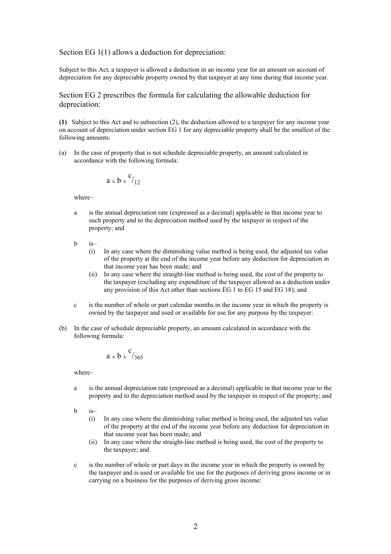#### Section EG 1(1) allows a deduction for depreciation:

Subject to this Act, a taxpayer is allowed a deduction in an income year for an amount on account of depreciation for any depreciable property owned by that taxpayer at any time during that income year.

Section EG 2 prescribes the formula for calculating the allowable deduction for depreciation:

**(1)** Subject to this Act and to subsection (2), the deduction allowed to a taxpayer for any income year on account of depreciation under section EG 1 for any depreciable property shall be the smallest of the following amounts:

(a) In the case of property that is not schedule depreciable property, an amount calculated in accordance with the following formula:

$$
a \times b \times c_{12}
$$

where–

- a is the annual depreciation rate (expressed as a decimal) applicable in that income year to such property and to the depreciation method used by the taxpayer in respect of the property; and
- b is–
	- (i) In any case where the diminishing value method is being used, the adjusted tax value of the property at the end of the income year before any deduction for depreciation in that income year has been made; and
	- (ii) In any case where the straight-line method is being used, the cost of the property to the taxpayer (excluding any expenditure of the taxpayer allowed as a deduction under any provision of this Act other than sections EG 1 to EG 15 and EG 18); and
- c is the number of whole or part calendar months in the income year in which the property is owned by the taxpayer and used or available for use for any purpose by the taxpayer:
- (b) In the case of schedule depreciable property, an amount calculated in accordance with the following formula:

$$
a \times b \times c_{365}
$$

where–

- a is the annual depreciation rate (expressed as a decimal) applicable in that income year to the property and to the depreciation method used by the taxpayer in respect of the property; and
- b is–
	- (i) In any case where the diminishing value method is being used, the adjusted tax value of the property at the end of the income year before any deduction for depreciation in that income year has been made; and
	- (ii) In any case where the straight-line method is being used, the cost of the property to the taxpayer; and
- c is the number of whole or part days in the income year in which the property is owned by the taxpayer and is used or available for use for the purposes of deriving gross income or in carrying on a business for the purposes of deriving gross income: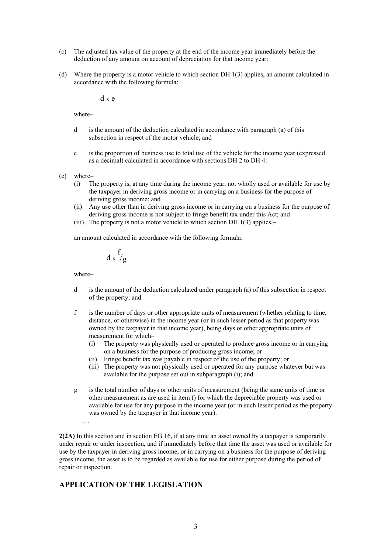- (c) The adjusted tax value of the property at the end of the income year immediately before the deduction of any amount on account of depreciation for that income year:
- (d) Where the property is a motor vehicle to which section DH 1(3) applies, an amount calculated in accordance with the following formula:

d <sup>x</sup> e

where–

- d is the amount of the deduction calculated in accordance with paragraph (a) of this subsection in respect of the motor vehicle; and
- e is the proportion of business use to total use of the vehicle for the income year (expressed as a decimal) calculated in accordance with sections DH 2 to DH 4:
- (e) where–
	- (i) The property is, at any time during the income year, not wholly used or available for use by the taxpayer in deriving gross income or in carrying on a business for the purpose of deriving gross income; and
	- (ii) Any use other than in deriving gross income or in carrying on a business for the purpose of deriving gross income is not subject to fringe benefit tax under this Act; and
	- (iii) The property is not a motor vehicle to which section DH 1(3) applies,–

an amount calculated in accordance with the following formula:

$$
d \times \frac{f}{g}
$$

where–

…

- d is the amount of the deduction calculated under paragraph (a) of this subsection in respect of the property; and
- f is the number of days or other appropriate units of measurement (whether relating to time, distance, or otherwise) in the income year (or in such lesser period as that property was owned by the taxpayer in that income year), being days or other appropriate units of measurement for which–
	- (i) The property was physically used or operated to produce gross income or in carrying on a business for the purpose of producing gross income; or
	- (ii) Fringe benefit tax was payable in respect of the use of the property; or
	- (iii) The property was not physically used or operated for any purpose whatever but was available for the purpose set out in subparagraph (i); and
- g is the total number of days or other units of measurement (being the same units of time or other measurement as are used in item f) for which the depreciable property was used or available for use for any purpose in the income year (or in such lesser period as the property was owned by the taxpayer in that income year).

**2(2A)** In this section and in section EG 16, if at any time an asset owned by a taxpayer is temporarily under repair or under inspection, and if immediately before that time the asset was used or available for use by the taxpayer in deriving gross income, or in carrying on a business for the purpose of deriving gross income, the asset is to be regarded as available for use for either purpose during the period of repair or inspection.

#### **APPLICATION OF THE LEGISLATION**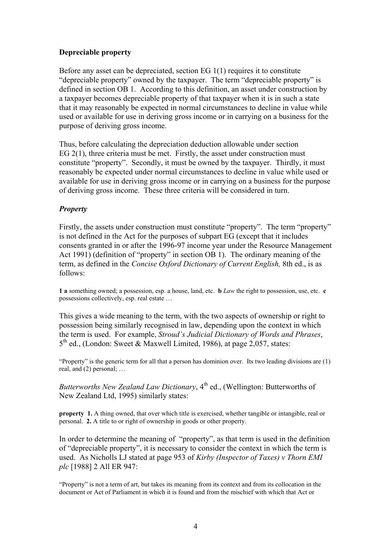# **Depreciable property**

Before any asset can be depreciated, section EG 1(1) requires it to constitute "depreciable property" owned by the taxpayer. The term "depreciable property" is defined in section OB 1. According to this definition, an asset under construction by a taxpayer becomes depreciable property of that taxpayer when it is in such a state that it may reasonably be expected in normal circumstances to decline in value while used or available for use in deriving gross income or in carrying on a business for the purpose of deriving gross income.

Thus, before calculating the depreciation deduction allowable under section EG 2(1), three criteria must be met. Firstly, the asset under construction must constitute "property". Secondly, it must be owned by the taxpayer. Thirdly, it must reasonably be expected under normal circumstances to decline in value while used or available for use in deriving gross income or in carrying on a business for the purpose of deriving gross income. These three criteria will be considered in turn.

# *Property*

Firstly, the assets under construction must constitute "property". The term "property" is not defined in the Act for the purposes of subpart EG (except that it includes consents granted in or after the 1996-97 income year under the Resource Management Act 1991) (definition of "property" in section OB 1). The ordinary meaning of the term, as defined in the *Concise Oxford Dictionary of Current English,* 8th ed., is as follows:

**1 a** something owned; a possession, esp. a house, land, etc. **b** *Law* the right to possession, use, etc. **c** possessions collectively, esp. real estate …

This gives a wide meaning to the term, with the two aspects of ownership or right to possession being similarly recognised in law, depending upon the context in which the term is used. For example, *Stroud's Judicial Dictionary of Words and Phrases*,  $5<sup>th</sup>$  ed., (London: Sweet & Maxwell Limited, 1986), at page 2,057, states:

"Property" is the generic term for all that a person has dominion over. Its two leading divisions are (1) real, and (2) personal; …

*Butterworths New Zealand Law Dictionary*, 4<sup>th</sup> ed., (Wellington: Butterworths of New Zealand Ltd, 1995) similarly states:

**property** 1. A thing owned, that over which title is exercised, whether tangible or intangible, real or personal. **2.** A title to or right of ownership in goods or other property.

In order to determine the meaning of "property", as that term is used in the definition of "depreciable property", it is necessary to consider the context in which the term is used. As Nicholls LJ stated at page 953 of *Kirby (Inspector of Taxes) v Thorn EMI plc* [1988] 2 All ER 947:

"Property" is not a term of art, but takes its meaning from its context and from its collocation in the document or Act of Parliament in which it is found and from the mischief with which that Act or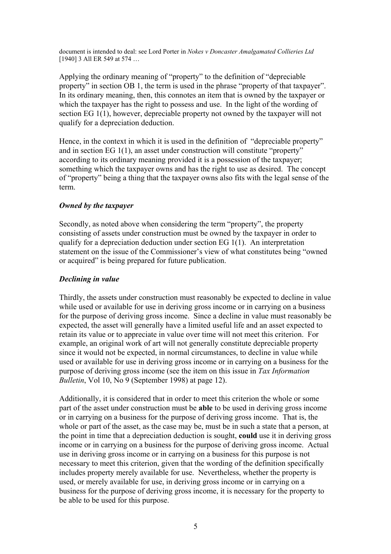document is intended to deal: see Lord Porter in *Nokes v Doncaster Amalgamated Collieries Ltd* [1940] 3 All ER 549 at 574 ...

Applying the ordinary meaning of "property" to the definition of "depreciable property" in section OB 1, the term is used in the phrase "property of that taxpayer". In its ordinary meaning, then, this connotes an item that is owned by the taxpayer or which the taxpayer has the right to possess and use. In the light of the wording of section EG 1(1), however, depreciable property not owned by the taxpayer will not qualify for a depreciation deduction.

Hence, in the context in which it is used in the definition of "depreciable property" and in section EG 1(1), an asset under construction will constitute "property" according to its ordinary meaning provided it is a possession of the taxpayer; something which the taxpayer owns and has the right to use as desired. The concept of "property" being a thing that the taxpayer owns also fits with the legal sense of the term.

# *Owned by the taxpayer*

Secondly, as noted above when considering the term "property", the property consisting of assets under construction must be owned by the taxpayer in order to qualify for a depreciation deduction under section EG 1(1). An interpretation statement on the issue of the Commissioner's view of what constitutes being "owned or acquired" is being prepared for future publication.

# *Declining in value*

Thirdly, the assets under construction must reasonably be expected to decline in value while used or available for use in deriving gross income or in carrying on a business for the purpose of deriving gross income. Since a decline in value must reasonably be expected, the asset will generally have a limited useful life and an asset expected to retain its value or to appreciate in value over time will not meet this criterion. For example, an original work of art will not generally constitute depreciable property since it would not be expected, in normal circumstances, to decline in value while used or available for use in deriving gross income or in carrying on a business for the purpose of deriving gross income (see the item on this issue in *Tax Information Bulletin*, Vol 10, No 9 (September 1998) at page 12).

Additionally, it is considered that in order to meet this criterion the whole or some part of the asset under construction must be **able** to be used in deriving gross income or in carrying on a business for the purpose of deriving gross income. That is, the whole or part of the asset, as the case may be, must be in such a state that a person, at the point in time that a depreciation deduction is sought, **could** use it in deriving gross income or in carrying on a business for the purpose of deriving gross income. Actual use in deriving gross income or in carrying on a business for this purpose is not necessary to meet this criterion, given that the wording of the definition specifically includes property merely available for use. Nevertheless, whether the property is used, or merely available for use, in deriving gross income or in carrying on a business for the purpose of deriving gross income, it is necessary for the property to be able to be used for this purpose.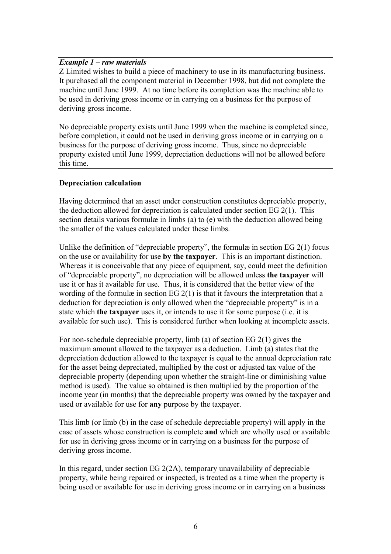#### *Example 1 – raw materials*

Z Limited wishes to build a piece of machinery to use in its manufacturing business. It purchased all the component material in December 1998, but did not complete the machine until June 1999. At no time before its completion was the machine able to be used in deriving gross income or in carrying on a business for the purpose of deriving gross income.

No depreciable property exists until June 1999 when the machine is completed since, before completion, it could not be used in deriving gross income or in carrying on a business for the purpose of deriving gross income. Thus, since no depreciable property existed until June 1999, depreciation deductions will not be allowed before this time.

# **Depreciation calculation**

Having determined that an asset under construction constitutes depreciable property, the deduction allowed for depreciation is calculated under section EG 2(1). This section details various formulæ in limbs (a) to (e) with the deduction allowed being the smaller of the values calculated under these limbs.

Unlike the definition of "depreciable property", the formulæ in section  $EG 2(1)$  focus on the use or availability for use **by the taxpayer**. This is an important distinction. Whereas it is conceivable that any piece of equipment, say, could meet the definition of "depreciable property", no depreciation will be allowed unless **the taxpayer** will use it or has it available for use. Thus, it is considered that the better view of the wording of the formulæ in section EG 2(1) is that it favours the interpretation that a deduction for depreciation is only allowed when the "depreciable property" is in a state which **the taxpayer** uses it, or intends to use it for some purpose (i.e. it is available for such use). This is considered further when looking at incomplete assets.

For non-schedule depreciable property, limb (a) of section EG 2(1) gives the maximum amount allowed to the taxpayer as a deduction. Limb (a) states that the depreciation deduction allowed to the taxpayer is equal to the annual depreciation rate for the asset being depreciated, multiplied by the cost or adjusted tax value of the depreciable property (depending upon whether the straight-line or diminishing value method is used). The value so obtained is then multiplied by the proportion of the income year (in months) that the depreciable property was owned by the taxpayer and used or available for use for **any** purpose by the taxpayer.

This limb (or limb (b) in the case of schedule depreciable property) will apply in the case of assets whose construction is complete **and** which are wholly used or available for use in deriving gross income or in carrying on a business for the purpose of deriving gross income.

In this regard, under section EG 2(2A), temporary unavailability of depreciable property, while being repaired or inspected, is treated as a time when the property is being used or available for use in deriving gross income or in carrying on a business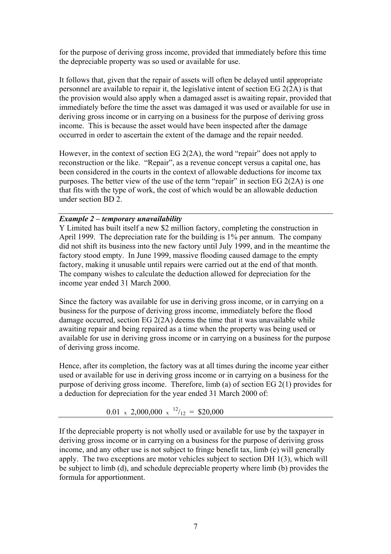for the purpose of deriving gross income, provided that immediately before this time the depreciable property was so used or available for use.

It follows that, given that the repair of assets will often be delayed until appropriate personnel are available to repair it, the legislative intent of section EG 2(2A) is that the provision would also apply when a damaged asset is awaiting repair, provided that immediately before the time the asset was damaged it was used or available for use in deriving gross income or in carrying on a business for the purpose of deriving gross income. This is because the asset would have been inspected after the damage occurred in order to ascertain the extent of the damage and the repair needed.

However, in the context of section EG 2(2A), the word "repair" does not apply to reconstruction or the like. "Repair", as a revenue concept versus a capital one, has been considered in the courts in the context of allowable deductions for income tax purposes. The better view of the use of the term "repair" in section EG 2(2A) is one that fits with the type of work, the cost of which would be an allowable deduction under section BD 2.

#### *Example 2 – temporary unavailability*

Y Limited has built itself a new \$2 million factory, completing the construction in April 1999. The depreciation rate for the building is 1% per annum. The company did not shift its business into the new factory until July 1999, and in the meantime the factory stood empty. In June 1999, massive flooding caused damage to the empty factory, making it unusable until repairs were carried out at the end of that month. The company wishes to calculate the deduction allowed for depreciation for the income year ended 31 March 2000.

Since the factory was available for use in deriving gross income, or in carrying on a business for the purpose of deriving gross income, immediately before the flood damage occurred, section EG 2(2A) deems the time that it was unavailable while awaiting repair and being repaired as a time when the property was being used or available for use in deriving gross income or in carrying on a business for the purpose of deriving gross income.

Hence, after its completion, the factory was at all times during the income year either used or available for use in deriving gross income or in carrying on a business for the purpose of deriving gross income. Therefore, limb (a) of section EG 2(1) provides for a deduction for depreciation for the year ended 31 March 2000 of:

$$
0.01 \times 2{,}000{,}000 \times \frac{12}{12} = $20{,}000
$$

If the depreciable property is not wholly used or available for use by the taxpayer in deriving gross income or in carrying on a business for the purpose of deriving gross income, and any other use is not subject to fringe benefit tax, limb (e) will generally apply. The two exceptions are motor vehicles subject to section DH 1(3), which will be subject to limb (d), and schedule depreciable property where limb (b) provides the formula for apportionment.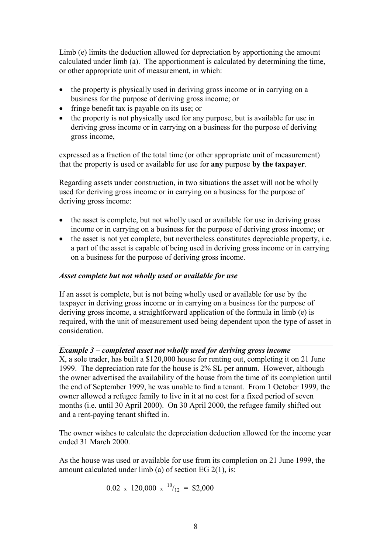Limb (e) limits the deduction allowed for depreciation by apportioning the amount calculated under limb (a). The apportionment is calculated by determining the time, or other appropriate unit of measurement, in which:

- the property is physically used in deriving gross income or in carrying on a business for the purpose of deriving gross income; or
- fringe benefit tax is payable on its use; or
- the property is not physically used for any purpose, but is available for use in deriving gross income or in carrying on a business for the purpose of deriving gross income,

expressed as a fraction of the total time (or other appropriate unit of measurement) that the property is used or available for use for **any** purpose **by the taxpayer**.

Regarding assets under construction, in two situations the asset will not be wholly used for deriving gross income or in carrying on a business for the purpose of deriving gross income:

- the asset is complete, but not wholly used or available for use in deriving gross income or in carrying on a business for the purpose of deriving gross income; or
- the asset is not yet complete, but nevertheless constitutes depreciable property, i.e. a part of the asset is capable of being used in deriving gross income or in carrying on a business for the purpose of deriving gross income.

# *Asset complete but not wholly used or available for use*

If an asset is complete, but is not being wholly used or available for use by the taxpayer in deriving gross income or in carrying on a business for the purpose of deriving gross income, a straightforward application of the formula in limb (e) is required, with the unit of measurement used being dependent upon the type of asset in consideration.

# *Example 3 – completed asset not wholly used for deriving gross income*

X, a sole trader, has built a \$120,000 house for renting out, completing it on 21 June 1999. The depreciation rate for the house is 2% SL per annum. However, although the owner advertised the availability of the house from the time of its completion until the end of September 1999, he was unable to find a tenant. From 1 October 1999, the owner allowed a refugee family to live in it at no cost for a fixed period of seven months (i.e. until 30 April 2000). On 30 April 2000, the refugee family shifted out and a rent-paying tenant shifted in.

The owner wishes to calculate the depreciation deduction allowed for the income year ended 31 March 2000.

As the house was used or available for use from its completion on 21 June 1999, the amount calculated under limb (a) of section EG 2(1), is:

$$
0.02 \times 120,000 \times 10^{1/2} = \$2,000
$$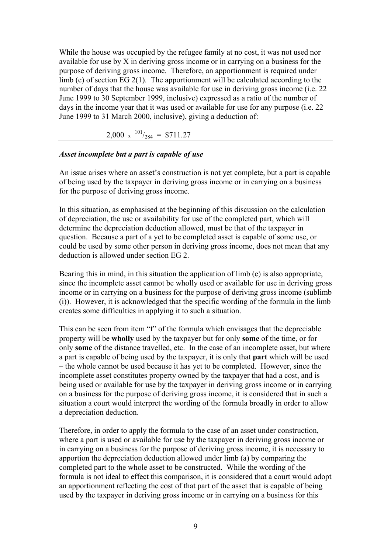While the house was occupied by the refugee family at no cost, it was not used nor available for use by X in deriving gross income or in carrying on a business for the purpose of deriving gross income. Therefore, an apportionment is required under limb (e) of section EG 2(1). The apportionment will be calculated according to the number of days that the house was available for use in deriving gross income (i.e. 22 June 1999 to 30 September 1999, inclusive) expressed as a ratio of the number of days in the income year that it was used or available for use for any purpose (i.e. 22 June 1999 to 31 March 2000, inclusive), giving a deduction of:

2,000 x  $^{101}/_{284}$  = \$711.27

#### *Asset incomplete but a part is capable of use*

An issue arises where an asset's construction is not yet complete, but a part is capable of being used by the taxpayer in deriving gross income or in carrying on a business for the purpose of deriving gross income.

In this situation, as emphasised at the beginning of this discussion on the calculation of depreciation, the use or availability for use of the completed part, which will determine the depreciation deduction allowed, must be that of the taxpayer in question. Because a part of a yet to be completed asset is capable of some use, or could be used by some other person in deriving gross income, does not mean that any deduction is allowed under section EG 2.

Bearing this in mind, in this situation the application of limb (e) is also appropriate, since the incomplete asset cannot be wholly used or available for use in deriving gross income or in carrying on a business for the purpose of deriving gross income (sublimb (i)). However, it is acknowledged that the specific wording of the formula in the limb creates some difficulties in applying it to such a situation.

This can be seen from item "f" of the formula which envisages that the depreciable property will be **wholly** used by the taxpayer but for only **some** of the time, or for only **some** of the distance travelled, etc. In the case of an incomplete asset, but where a part is capable of being used by the taxpayer, it is only that **part** which will be used – the whole cannot be used because it has yet to be completed. However, since the incomplete asset constitutes property owned by the taxpayer that had a cost, and is being used or available for use by the taxpayer in deriving gross income or in carrying on a business for the purpose of deriving gross income, it is considered that in such a situation a court would interpret the wording of the formula broadly in order to allow a depreciation deduction.

Therefore, in order to apply the formula to the case of an asset under construction, where a part is used or available for use by the taxpayer in deriving gross income or in carrying on a business for the purpose of deriving gross income, it is necessary to apportion the depreciation deduction allowed under limb (a) by comparing the completed part to the whole asset to be constructed. While the wording of the formula is not ideal to effect this comparison, it is considered that a court would adopt an apportionment reflecting the cost of that part of the asset that is capable of being used by the taxpayer in deriving gross income or in carrying on a business for this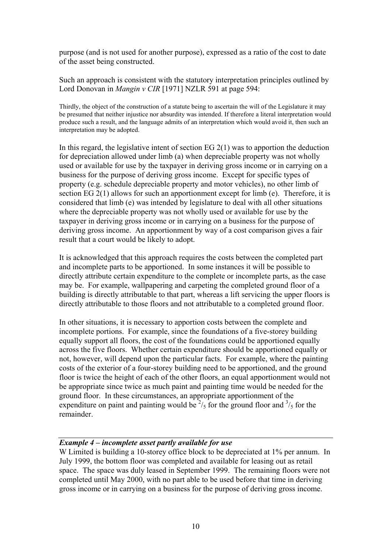purpose (and is not used for another purpose), expressed as a ratio of the cost to date of the asset being constructed.

Such an approach is consistent with the statutory interpretation principles outlined by Lord Donovan in *Mangin v CIR* [1971] NZLR 591 at page 594:

Thirdly, the object of the construction of a statute being to ascertain the will of the Legislature it may be presumed that neither injustice nor absurdity was intended. If therefore a literal interpretation would produce such a result, and the language admits of an interpretation which would avoid it, then such an interpretation may be adopted.

In this regard, the legislative intent of section EG  $2(1)$  was to apportion the deduction for depreciation allowed under limb (a) when depreciable property was not wholly used or available for use by the taxpayer in deriving gross income or in carrying on a business for the purpose of deriving gross income. Except for specific types of property (e.g. schedule depreciable property and motor vehicles), no other limb of section EG 2(1) allows for such an apportionment except for limb (e). Therefore, it is considered that limb (e) was intended by legislature to deal with all other situations where the depreciable property was not wholly used or available for use by the taxpayer in deriving gross income or in carrying on a business for the purpose of deriving gross income. An apportionment by way of a cost comparison gives a fair result that a court would be likely to adopt.

It is acknowledged that this approach requires the costs between the completed part and incomplete parts to be apportioned. In some instances it will be possible to directly attribute certain expenditure to the complete or incomplete parts, as the case may be. For example, wallpapering and carpeting the completed ground floor of a building is directly attributable to that part, whereas a lift servicing the upper floors is directly attributable to those floors and not attributable to a completed ground floor.

In other situations, it is necessary to apportion costs between the complete and incomplete portions. For example, since the foundations of a five-storey building equally support all floors, the cost of the foundations could be apportioned equally across the five floors. Whether certain expenditure should be apportioned equally or not, however, will depend upon the particular facts. For example, where the painting costs of the exterior of a four-storey building need to be apportioned, and the ground floor is twice the height of each of the other floors, an equal apportionment would not be appropriate since twice as much paint and painting time would be needed for the ground floor. In these circumstances, an appropriate apportionment of the expenditure on paint and painting would be  $\frac{2}{5}$  for the ground floor and  $\frac{3}{5}$  for the remainder.

### *Example 4 – incomplete asset partly available for use*

W Limited is building a 10-storey office block to be depreciated at 1% per annum. In July 1999, the bottom floor was completed and available for leasing out as retail space. The space was duly leased in September 1999. The remaining floors were not completed until May 2000, with no part able to be used before that time in deriving gross income or in carrying on a business for the purpose of deriving gross income.